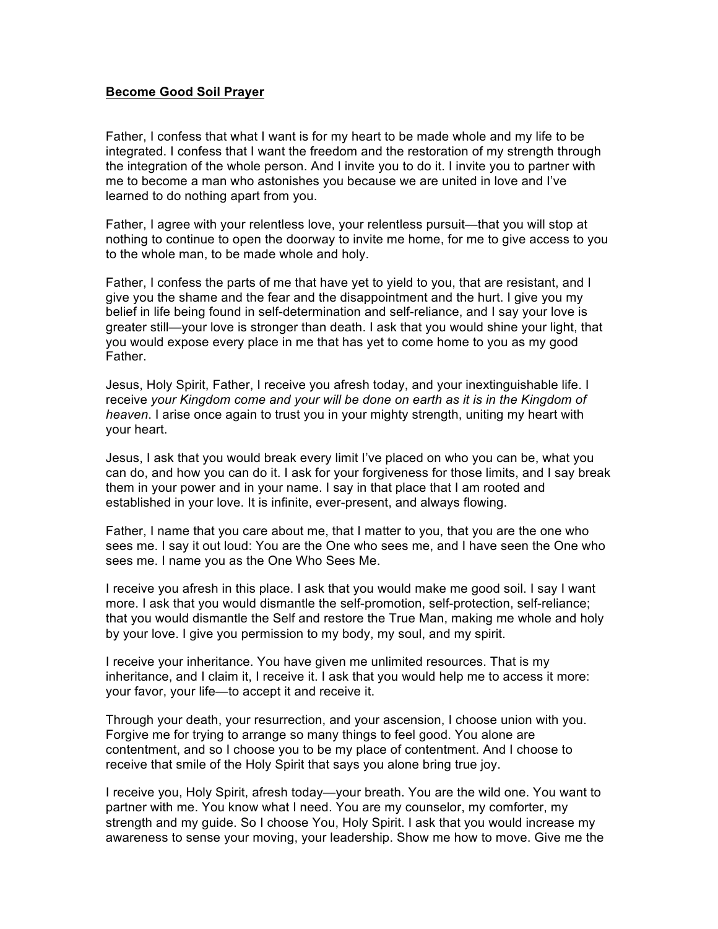## **Become Good Soil Prayer**

Father, I confess that what I want is for my heart to be made whole and my life to be integrated. I confess that I want the freedom and the restoration of my strength through the integration of the whole person. And I invite you to do it. I invite you to partner with me to become a man who astonishes you because we are united in love and I've learned to do nothing apart from you.

Father, I agree with your relentless love, your relentless pursuit—that you will stop at nothing to continue to open the doorway to invite me home, for me to give access to you to the whole man, to be made whole and holy.

Father, I confess the parts of me that have yet to yield to you, that are resistant, and I give you the shame and the fear and the disappointment and the hurt. I give you my belief in life being found in self-determination and self-reliance, and I say your love is greater still—your love is stronger than death. I ask that you would shine your light, that you would expose every place in me that has yet to come home to you as my good Father.

Jesus, Holy Spirit, Father, I receive you afresh today, and your inextinguishable life. I receive *your Kingdom come and your will be done on earth as it is in the Kingdom of heaven*. I arise once again to trust you in your mighty strength, uniting my heart with your heart.

Jesus, I ask that you would break every limit I've placed on who you can be, what you can do, and how you can do it. I ask for your forgiveness for those limits, and I say break them in your power and in your name. I say in that place that I am rooted and established in your love. It is infinite, ever-present, and always flowing.

Father, I name that you care about me, that I matter to you, that you are the one who sees me. I say it out loud: You are the One who sees me, and I have seen the One who sees me. I name you as the One Who Sees Me.

I receive you afresh in this place. I ask that you would make me good soil. I say I want more. I ask that you would dismantle the self-promotion, self-protection, self-reliance; that you would dismantle the Self and restore the True Man, making me whole and holy by your love. I give you permission to my body, my soul, and my spirit.

I receive your inheritance. You have given me unlimited resources. That is my inheritance, and I claim it, I receive it. I ask that you would help me to access it more: your favor, your life—to accept it and receive it.

Through your death, your resurrection, and your ascension, I choose union with you. Forgive me for trying to arrange so many things to feel good. You alone are contentment, and so I choose you to be my place of contentment. And I choose to receive that smile of the Holy Spirit that says you alone bring true joy.

I receive you, Holy Spirit, afresh today—your breath. You are the wild one. You want to partner with me. You know what I need. You are my counselor, my comforter, my strength and my guide. So I choose You, Holy Spirit. I ask that you would increase my awareness to sense your moving, your leadership. Show me how to move. Give me the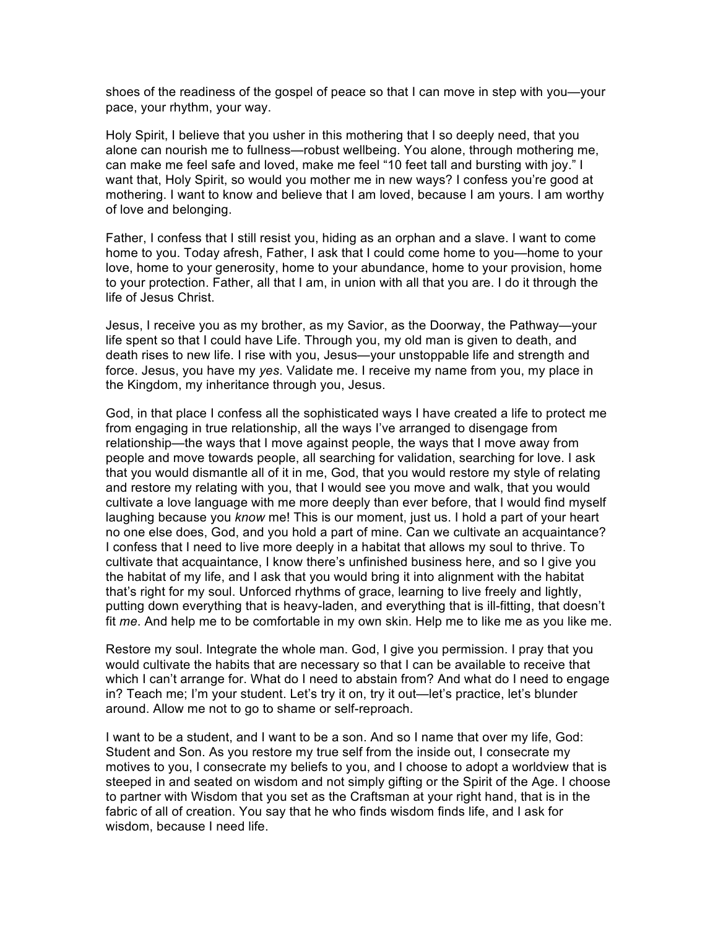shoes of the readiness of the gospel of peace so that I can move in step with you—your pace, your rhythm, your way.

Holy Spirit, I believe that you usher in this mothering that I so deeply need, that you alone can nourish me to fullness—robust wellbeing. You alone, through mothering me, can make me feel safe and loved, make me feel "10 feet tall and bursting with joy." I want that, Holy Spirit, so would you mother me in new ways? I confess you're good at mothering. I want to know and believe that I am loved, because I am yours. I am worthy of love and belonging.

Father, I confess that I still resist you, hiding as an orphan and a slave. I want to come home to you. Today afresh, Father, I ask that I could come home to you—home to your love, home to your generosity, home to your abundance, home to your provision, home to your protection. Father, all that I am, in union with all that you are. I do it through the life of Jesus Christ.

Jesus, I receive you as my brother, as my Savior, as the Doorway, the Pathway—your life spent so that I could have Life. Through you, my old man is given to death, and death rises to new life. I rise with you, Jesus—your unstoppable life and strength and force. Jesus, you have my *yes*. Validate me. I receive my name from you, my place in the Kingdom, my inheritance through you, Jesus.

God, in that place I confess all the sophisticated ways I have created a life to protect me from engaging in true relationship, all the ways I've arranged to disengage from relationship—the ways that I move against people, the ways that I move away from people and move towards people, all searching for validation, searching for love. I ask that you would dismantle all of it in me, God, that you would restore my style of relating and restore my relating with you, that I would see you move and walk, that you would cultivate a love language with me more deeply than ever before, that I would find myself laughing because you *know* me! This is our moment, just us. I hold a part of your heart no one else does, God, and you hold a part of mine. Can we cultivate an acquaintance? I confess that I need to live more deeply in a habitat that allows my soul to thrive. To cultivate that acquaintance, I know there's unfinished business here, and so I give you the habitat of my life, and I ask that you would bring it into alignment with the habitat that's right for my soul. Unforced rhythms of grace, learning to live freely and lightly, putting down everything that is heavy-laden, and everything that is ill-fitting, that doesn't fit *me*. And help me to be comfortable in my own skin. Help me to like me as you like me.

Restore my soul. Integrate the whole man. God, I give you permission. I pray that you would cultivate the habits that are necessary so that I can be available to receive that which I can't arrange for. What do I need to abstain from? And what do I need to engage in? Teach me; I'm your student. Let's try it on, try it out—let's practice, let's blunder around. Allow me not to go to shame or self-reproach.

I want to be a student, and I want to be a son. And so I name that over my life, God: Student and Son. As you restore my true self from the inside out, I consecrate my motives to you, I consecrate my beliefs to you, and I choose to adopt a worldview that is steeped in and seated on wisdom and not simply gifting or the Spirit of the Age. I choose to partner with Wisdom that you set as the Craftsman at your right hand, that is in the fabric of all of creation. You say that he who finds wisdom finds life, and I ask for wisdom, because I need life.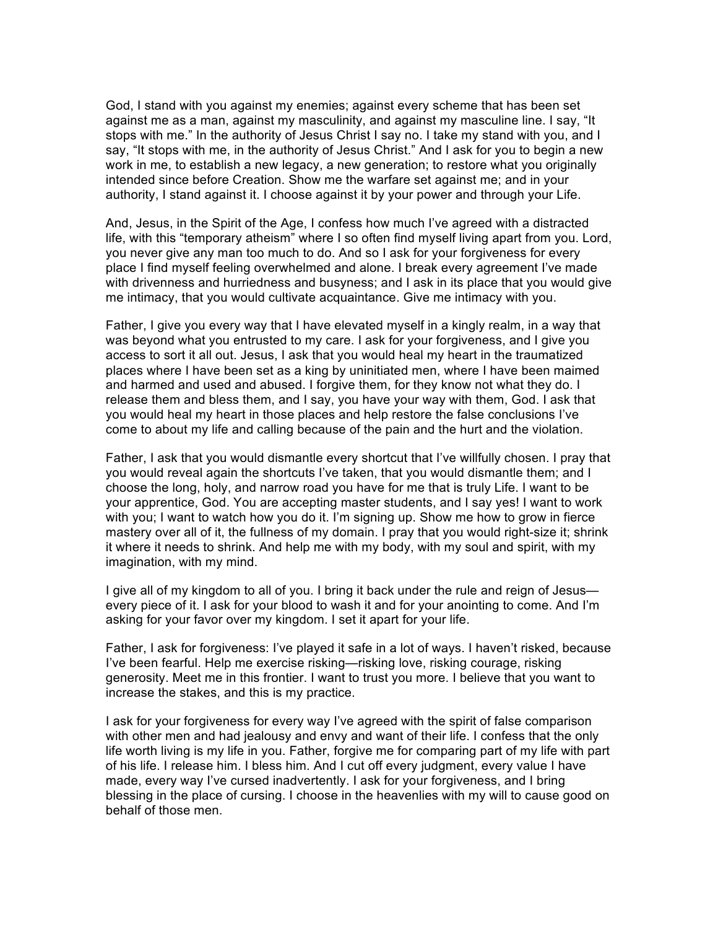God, I stand with you against my enemies; against every scheme that has been set against me as a man, against my masculinity, and against my masculine line. I say, "It stops with me." In the authority of Jesus Christ I say no. I take my stand with you, and I say, "It stops with me, in the authority of Jesus Christ." And I ask for you to begin a new work in me, to establish a new legacy, a new generation; to restore what you originally intended since before Creation. Show me the warfare set against me; and in your authority, I stand against it. I choose against it by your power and through your Life.

And, Jesus, in the Spirit of the Age, I confess how much I've agreed with a distracted life, with this "temporary atheism" where I so often find myself living apart from you. Lord, you never give any man too much to do. And so I ask for your forgiveness for every place I find myself feeling overwhelmed and alone. I break every agreement I've made with drivenness and hurriedness and busyness; and I ask in its place that you would give me intimacy, that you would cultivate acquaintance. Give me intimacy with you.

Father, I give you every way that I have elevated myself in a kingly realm, in a way that was beyond what you entrusted to my care. I ask for your forgiveness, and I give you access to sort it all out. Jesus, I ask that you would heal my heart in the traumatized places where I have been set as a king by uninitiated men, where I have been maimed and harmed and used and abused. I forgive them, for they know not what they do. I release them and bless them, and I say, you have your way with them, God. I ask that you would heal my heart in those places and help restore the false conclusions I've come to about my life and calling because of the pain and the hurt and the violation.

Father, I ask that you would dismantle every shortcut that I've willfully chosen. I pray that you would reveal again the shortcuts I've taken, that you would dismantle them; and I choose the long, holy, and narrow road you have for me that is truly Life. I want to be your apprentice, God. You are accepting master students, and I say yes! I want to work with you; I want to watch how you do it. I'm signing up. Show me how to grow in fierce mastery over all of it, the fullness of my domain. I pray that you would right-size it; shrink it where it needs to shrink. And help me with my body, with my soul and spirit, with my imagination, with my mind.

I give all of my kingdom to all of you. I bring it back under the rule and reign of Jesus every piece of it. I ask for your blood to wash it and for your anointing to come. And I'm asking for your favor over my kingdom. I set it apart for your life.

Father, I ask for forgiveness: I've played it safe in a lot of ways. I haven't risked, because I've been fearful. Help me exercise risking—risking love, risking courage, risking generosity. Meet me in this frontier. I want to trust you more. I believe that you want to increase the stakes, and this is my practice.

I ask for your forgiveness for every way I've agreed with the spirit of false comparison with other men and had jealousy and envy and want of their life. I confess that the only life worth living is my life in you. Father, forgive me for comparing part of my life with part of his life. I release him. I bless him. And I cut off every judgment, every value I have made, every way I've cursed inadvertently. I ask for your forgiveness, and I bring blessing in the place of cursing. I choose in the heavenlies with my will to cause good on behalf of those men.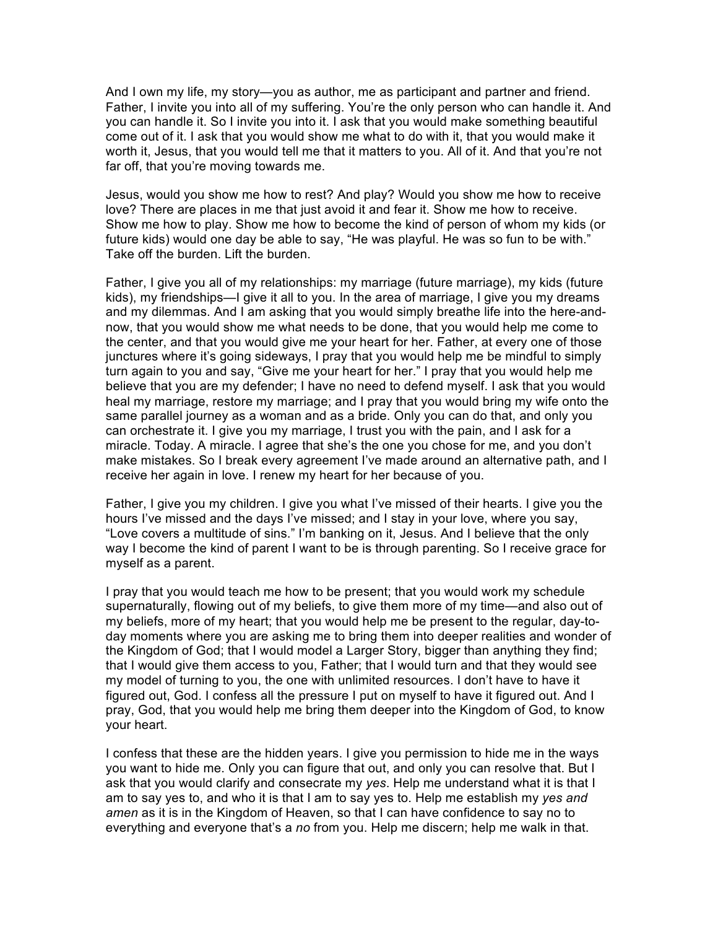And I own my life, my story—you as author, me as participant and partner and friend. Father, I invite you into all of my suffering. You're the only person who can handle it. And you can handle it. So I invite you into it. I ask that you would make something beautiful come out of it. I ask that you would show me what to do with it, that you would make it worth it, Jesus, that you would tell me that it matters to you. All of it. And that you're not far off, that you're moving towards me.

Jesus, would you show me how to rest? And play? Would you show me how to receive love? There are places in me that just avoid it and fear it. Show me how to receive. Show me how to play. Show me how to become the kind of person of whom my kids (or future kids) would one day be able to say, "He was playful. He was so fun to be with." Take off the burden. Lift the burden.

Father, I give you all of my relationships: my marriage (future marriage), my kids (future kids), my friendships—I give it all to you. In the area of marriage, I give you my dreams and my dilemmas. And I am asking that you would simply breathe life into the here-andnow, that you would show me what needs to be done, that you would help me come to the center, and that you would give me your heart for her. Father, at every one of those junctures where it's going sideways, I pray that you would help me be mindful to simply turn again to you and say, "Give me your heart for her." I pray that you would help me believe that you are my defender; I have no need to defend myself. I ask that you would heal my marriage, restore my marriage; and I pray that you would bring my wife onto the same parallel journey as a woman and as a bride. Only you can do that, and only you can orchestrate it. I give you my marriage, I trust you with the pain, and I ask for a miracle. Today. A miracle. I agree that she's the one you chose for me, and you don't make mistakes. So I break every agreement I've made around an alternative path, and I receive her again in love. I renew my heart for her because of you.

Father, I give you my children. I give you what I've missed of their hearts. I give you the hours I've missed and the days I've missed; and I stay in your love, where you say, "Love covers a multitude of sins." I'm banking on it, Jesus. And I believe that the only way I become the kind of parent I want to be is through parenting. So I receive grace for myself as a parent.

I pray that you would teach me how to be present; that you would work my schedule supernaturally, flowing out of my beliefs, to give them more of my time—and also out of my beliefs, more of my heart; that you would help me be present to the regular, day-today moments where you are asking me to bring them into deeper realities and wonder of the Kingdom of God; that I would model a Larger Story, bigger than anything they find; that I would give them access to you, Father; that I would turn and that they would see my model of turning to you, the one with unlimited resources. I don't have to have it figured out, God. I confess all the pressure I put on myself to have it figured out. And I pray, God, that you would help me bring them deeper into the Kingdom of God, to know your heart.

I confess that these are the hidden years. I give you permission to hide me in the ways you want to hide me. Only you can figure that out, and only you can resolve that. But I ask that you would clarify and consecrate my *yes*. Help me understand what it is that I am to say yes to, and who it is that I am to say yes to. Help me establish my *yes and amen* as it is in the Kingdom of Heaven, so that I can have confidence to say no to everything and everyone that's a *no* from you. Help me discern; help me walk in that.